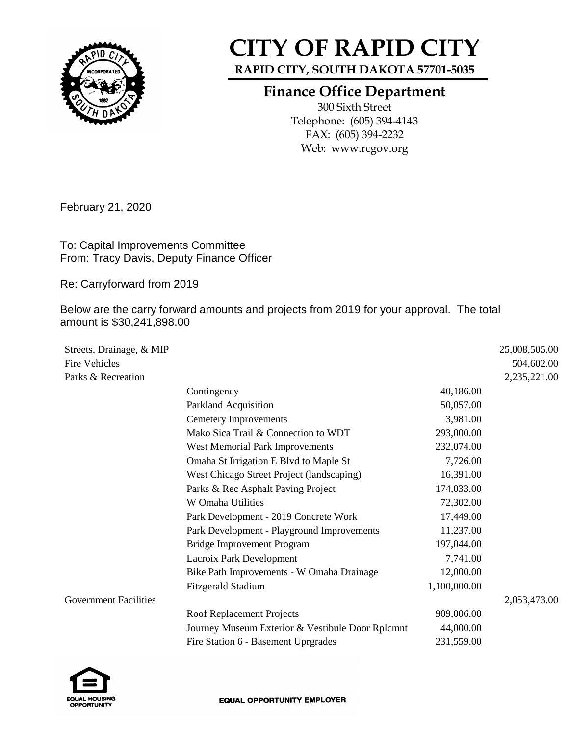

## **CITY OF RAPID CITY**

**RAPID CITY, SOUTH DAKOTA 57701-5035**

## **Finance Office Department**

300 Sixth Street Telephone: (605) 394-4143 FAX: (605) 394-2232 Web: www.rcgov.org

February 21, 2020

To: Capital Improvements Committee From: Tracy Davis, Deputy Finance Officer

Re: Carryforward from 2019

Below are the carry forward amounts and projects from 2019 for your approval. The total amount is \$30,241,898.00

| Streets, Drainage, & MIP     |                                                  |              | 25,008,505.00 |
|------------------------------|--------------------------------------------------|--------------|---------------|
| <b>Fire Vehicles</b>         |                                                  |              | 504,602.00    |
| Parks & Recreation           |                                                  |              | 2,235,221.00  |
|                              | Contingency                                      | 40,186.00    |               |
|                              | Parkland Acquisition                             | 50,057.00    |               |
|                              | <b>Cemetery Improvements</b>                     | 3,981.00     |               |
|                              | Mako Sica Trail & Connection to WDT              | 293,000.00   |               |
|                              | <b>West Memorial Park Improvements</b>           | 232,074.00   |               |
|                              | Omaha St Irrigation E Blvd to Maple St           | 7,726.00     |               |
|                              | West Chicago Street Project (landscaping)        | 16,391.00    |               |
|                              | Parks & Rec Asphalt Paving Project               | 174,033.00   |               |
|                              | W Omaha Utilities                                | 72,302.00    |               |
|                              | Park Development - 2019 Concrete Work            | 17,449.00    |               |
|                              | Park Development - Playground Improvements       | 11,237.00    |               |
|                              | <b>Bridge Improvement Program</b>                | 197,044.00   |               |
|                              | Lacroix Park Development                         | 7,741.00     |               |
|                              | Bike Path Improvements - W Omaha Drainage        | 12,000.00    |               |
|                              | <b>Fitzgerald Stadium</b>                        | 1,100,000.00 |               |
| <b>Government Facilities</b> |                                                  |              | 2,053,473.00  |
|                              | Roof Replacement Projects                        | 909,006.00   |               |
|                              | Journey Museum Exterior & Vestibule Door Rplcmnt | 44,000.00    |               |
|                              | Fire Station 6 - Basement Uprgrades              | 231,559.00   |               |
|                              |                                                  |              |               |